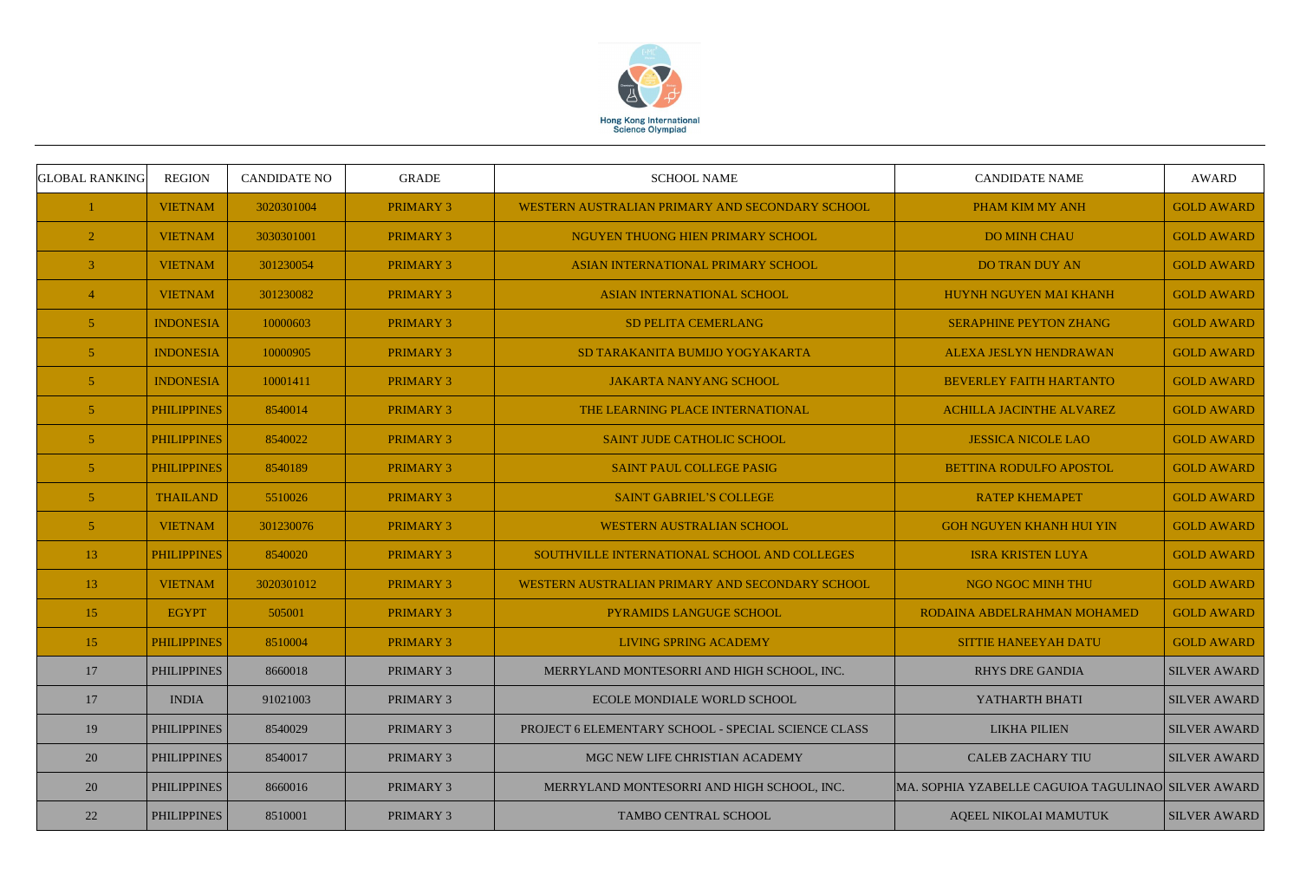

| <b>GLOBAL RANKING</b> | <b>REGION</b>      | <b>CANDIDATE NO</b> | <b>GRADE</b>     | <b>SCHOOL NAME</b>                                  | <b>CANDIDATE NAME</b>                              | <b>AWARD</b>        |
|-----------------------|--------------------|---------------------|------------------|-----------------------------------------------------|----------------------------------------------------|---------------------|
|                       | <b>VIETNAM</b>     | 3020301004          | <b>PRIMARY 3</b> | WESTERN AUSTRALIAN PRIMARY AND SECONDARY SCHOOL     | PHAM KIM MY ANH                                    | <b>GOLD AWARD</b>   |
| $\overline{2}$        | <b>VIETNAM</b>     | 3030301001          | <b>PRIMARY 3</b> | NGUYEN THUONG HIEN PRIMARY SCHOOL                   | <b>DO MINH CHAU</b>                                | <b>GOLD AWARD</b>   |
| 3                     | <b>VIETNAM</b>     | 301230054           | <b>PRIMARY 3</b> | ASIAN INTERNATIONAL PRIMARY SCHOOL                  | <b>DO TRAN DUY AN</b>                              | <b>GOLD AWARD</b>   |
|                       | <b>VIETNAM</b>     | 301230082           | <b>PRIMARY 3</b> | <b>ASIAN INTERNATIONAL SCHOOL</b>                   | HUYNH NGUYEN MAI KHANH                             | <b>GOLD AWARD</b>   |
| 5 <sup>5</sup>        | <b>INDONESIA</b>   | 10000603            | <b>PRIMARY 3</b> | <b>SD PELITA CEMERLANG</b>                          | <b>SERAPHINE PEYTON ZHANG</b>                      | <b>GOLD AWARD</b>   |
| 5 <sup>5</sup>        | <b>INDONESIA</b>   | 10000905            | <b>PRIMARY 3</b> | SD TARAKANITA BUMIJO YOGYAKARTA                     | ALEXA JESLYN HENDRAWAN                             | <b>GOLD AWARD</b>   |
| $\overline{5}$        | <b>INDONESIA</b>   | 10001411            | <b>PRIMARY 3</b> | <b>JAKARTA NANYANG SCHOOL</b>                       | <b>BEVERLEY FAITH HARTANTO</b>                     | <b>GOLD AWARD</b>   |
| $\overline{5}$        | <b>PHILIPPINES</b> | 8540014             | <b>PRIMARY 3</b> | THE LEARNING PLACE INTERNATIONAL                    | <b>ACHILLA JACINTHE ALVAREZ</b>                    | <b>GOLD AWARD</b>   |
| 5 <sup>5</sup>        | <b>PHILIPPINES</b> | 8540022             | <b>PRIMARY 3</b> | SAINT JUDE CATHOLIC SCHOOL                          | <b>JESSICA NICOLE LAO</b>                          | <b>GOLD AWARD</b>   |
| 5 <sup>5</sup>        | <b>PHILIPPINES</b> | 8540189             | <b>PRIMARY 3</b> | <b>SAINT PAUL COLLEGE PASIG</b>                     | BETTINA RODULFO APOSTOL                            | <b>GOLD AWARD</b>   |
| 5 <sup>5</sup>        | <b>THAILAND</b>    | 5510026             | <b>PRIMARY 3</b> | <b>SAINT GABRIEL'S COLLEGE</b>                      | <b>RATEP KHEMAPET</b>                              | <b>GOLD AWARD</b>   |
| 5 <sup>5</sup>        | <b>VIETNAM</b>     | 301230076           | <b>PRIMARY 3</b> | WESTERN AUSTRALIAN SCHOOL                           | <b>GOH NGUYEN KHANH HUI YIN</b>                    | <b>GOLD AWARD</b>   |
| 13                    | <b>PHILIPPINES</b> | 8540020             | <b>PRIMARY 3</b> | SOUTHVILLE INTERNATIONAL SCHOOL AND COLLEGES        | <b>ISRA KRISTEN LUYA</b>                           | <b>GOLD AWARD</b>   |
| 13                    | <b>VIETNAM</b>     | 3020301012          | <b>PRIMARY 3</b> | WESTERN AUSTRALIAN PRIMARY AND SECONDARY SCHOOL     | NGO NGOC MINH THU                                  | <b>GOLD AWARD</b>   |
| 15                    | <b>EGYPT</b>       | 505001              | <b>PRIMARY 3</b> | PYRAMIDS LANGUGE SCHOOL                             | RODAINA ABDELRAHMAN MOHAMED                        | <b>GOLD AWARD</b>   |
| 15                    | <b>PHILIPPINES</b> | 8510004             | <b>PRIMARY 3</b> | LIVING SPRING ACADEMY                               | <b>SITTIE HANEEYAH DATU</b>                        | <b>GOLD AWARD</b>   |
| 17                    | <b>PHILIPPINES</b> | 8660018             | <b>PRIMARY 3</b> | MERRYLAND MONTESORRI AND HIGH SCHOOL, INC.          | <b>RHYS DRE GANDIA</b>                             | <b>SILVER AWARD</b> |
| 17                    | <b>INDIA</b>       | 91021003            | <b>PRIMARY 3</b> | ECOLE MONDIALE WORLD SCHOOL                         | YATHARTH BHATI                                     | <b>SILVER AWARD</b> |
| 19                    | <b>PHILIPPINES</b> | 8540029             | <b>PRIMARY 3</b> | PROJECT 6 ELEMENTARY SCHOOL - SPECIAL SCIENCE CLASS | <b>LIKHA PILIEN</b>                                | <b>SILVER AWARD</b> |
| 20                    | <b>PHILIPPINES</b> | 8540017             | <b>PRIMARY 3</b> | MGC NEW LIFE CHRISTIAN ACADEMY                      | <b>CALEB ZACHARY TIU</b>                           | <b>SILVER AWARD</b> |
| 20                    | <b>PHILIPPINES</b> | 8660016             | PRIMARY 3        | MERRYLAND MONTESORRI AND HIGH SCHOOL, INC.          | MA. SOPHIA YZABELLE CAGUIOA TAGULINAO SILVER AWARD |                     |
| 22                    | <b>PHILIPPINES</b> | 8510001             | <b>PRIMARY 3</b> | TAMBO CENTRAL SCHOOL                                | AQEEL NIKOLAI MAMUTUK                              | <b>SILVER AWARD</b> |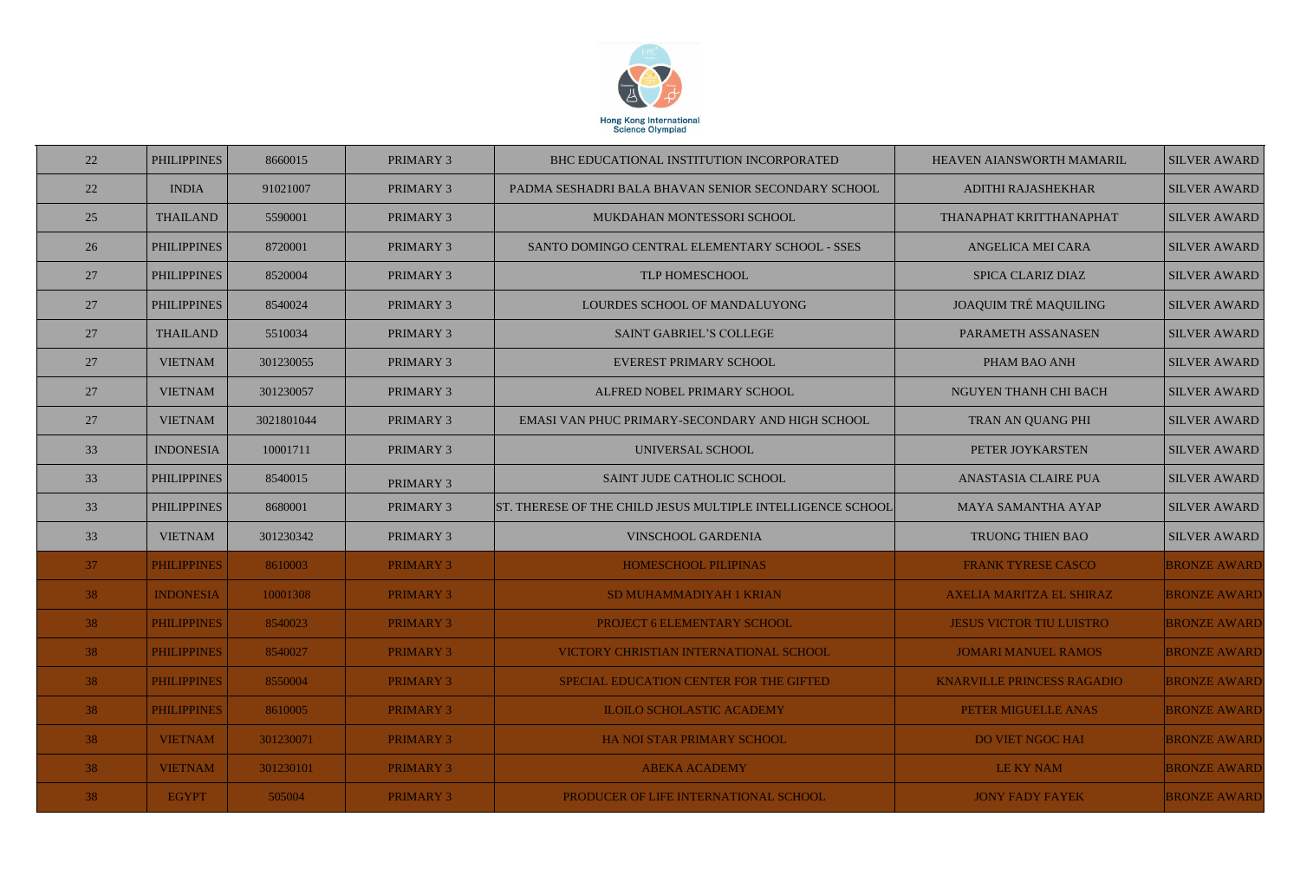

| 22 | <b>PHILIPPINES</b> | 8660015    | <b>PRIMARY 3</b> | BHC EDUCATIONAL INSTITUTION INCORPORATED                    | HEAVEN AIANSWORTH MAMARIL         | <b>SILVER AWARD</b> |
|----|--------------------|------------|------------------|-------------------------------------------------------------|-----------------------------------|---------------------|
| 22 | <b>INDIA</b>       | 91021007   | <b>PRIMARY 3</b> | PADMA SESHADRI BALA BHAVAN SENIOR SECONDARY SCHOOL          | ADITHI RAJASHEKHAR                | <b>SILVER AWARD</b> |
| 25 | <b>THAILAND</b>    | 5590001    | <b>PRIMARY 3</b> | MUKDAHAN MONTESSORI SCHOOL                                  | THANAPHAT KRITTHANAPHAT           | <b>SILVER AWARD</b> |
| 26 | <b>PHILIPPINES</b> | 8720001    | <b>PRIMARY 3</b> | SANTO DOMINGO CENTRAL ELEMENTARY SCHOOL - SSES              | <b>ANGELICA MEI CARA</b>          | <b>SILVER AWARD</b> |
| 27 | <b>PHILIPPINES</b> | 8520004    | PRIMARY 3        | TLP HOMESCHOOL                                              | <b>SPICA CLARIZ DIAZ</b>          | <b>SILVER AWARD</b> |
| 27 | <b>PHILIPPINES</b> | 8540024    | PRIMARY 3        | LOURDES SCHOOL OF MANDALUYONG                               | <b>JOAQUIM TRÉ MAQUILING</b>      | <b>SILVER AWARD</b> |
| 27 | <b>THAILAND</b>    | 5510034    | <b>PRIMARY 3</b> | <b>SAINT GABRIEL'S COLLEGE</b>                              | PARAMETH ASSANASEN                | <b>SILVER AWARD</b> |
| 27 | <b>VIETNAM</b>     | 301230055  | PRIMARY 3        | EVEREST PRIMARY SCHOOL                                      | PHAM BAO ANH                      | <b>SILVER AWARD</b> |
| 27 | <b>VIETNAM</b>     | 301230057  | <b>PRIMARY 3</b> | ALFRED NOBEL PRIMARY SCHOOL                                 | NGUYEN THANH CHI BACH             | <b>SILVER AWARD</b> |
| 27 | <b>VIETNAM</b>     | 3021801044 | <b>PRIMARY 3</b> | EMASI VAN PHUC PRIMARY-SECONDARY AND HIGH SCHOOL            | <b>TRAN AN QUANG PHI</b>          | <b>SILVER AWARD</b> |
| 33 | <b>INDONESIA</b>   | 10001711   | PRIMARY 3        | UNIVERSAL SCHOOL                                            | PETER JOYKARSTEN                  | <b>SILVER AWARD</b> |
| 33 | <b>PHILIPPINES</b> | 8540015    | <b>PRIMARY 3</b> | SAINT JUDE CATHOLIC SCHOOL                                  | ANASTASIA CLAIRE PUA              | <b>SILVER AWARD</b> |
| 33 | <b>PHILIPPINES</b> | 8680001    | PRIMARY 3        | ST. THERESE OF THE CHILD JESUS MULTIPLE INTELLIGENCE SCHOOL | <b>MAYA SAMANTHA AYAP</b>         | <b>SILVER AWARD</b> |
| 33 | <b>VIETNAM</b>     | 301230342  | <b>PRIMARY 3</b> | <b>VINSCHOOL GARDENIA</b>                                   | TRUONG THIEN BAO                  | <b>SILVER AWARD</b> |
| 37 | <b>PHILIPPINES</b> | 8610003    | <b>PRIMARY 3</b> | <b>HOMESCHOOL PILIPINAS</b>                                 | <b>FRANK TYRESE CASCO</b>         | <b>BRONZE AWARD</b> |
| 38 | <b>INDONESIA</b>   | 10001308   | <b>PRIMARY 3</b> | SD MUHAMMADIYAH 1 KRIAN                                     | <b>AXELIA MARITZA EL SHIRAZ</b>   | <b>BRONZE AWARD</b> |
| 38 | <b>PHILIPPINES</b> | 8540023    | <b>PRIMARY 3</b> | PROJECT 6 ELEMENTARY SCHOOL                                 | <b>JESUS VICTOR TIU LUISTRO</b>   | <b>BRONZE AWARD</b> |
| 38 | <b>PHILIPPINES</b> | 8540027    | <b>PRIMARY 3</b> | VICTORY CHRISTIAN INTERNATIONAL SCHOOL                      | <b>JOMARI MANUEL RAMOS</b>        | <b>BRONZE AWARD</b> |
| 38 | <b>PHILIPPINES</b> | 8550004    | <b>PRIMARY 3</b> | SPECIAL EDUCATION CENTER FOR THE GIFTED                     | <b>KNARVILLE PRINCESS RAGADIO</b> | <b>BRONZE AWARD</b> |
| 38 | <b>PHILIPPINES</b> | 8610005    | <b>PRIMARY 3</b> | <b>ILOILO SCHOLASTIC ACADEMY</b>                            | PETER MIGUELLE ANAS               | <b>BRONZE AWARD</b> |
| 38 | <b>VIETNAM</b>     | 301230071  | <b>PRIMARY 3</b> | <b>HA NOI STAR PRIMARY SCHOOL</b>                           | <b>DO VIET NGOC HAI</b>           | <b>BRONZE AWARD</b> |
| 38 | <b>VIETNAM</b>     | 301230101  | <b>PRIMARY 3</b> | <b>ABEKA ACADEMY</b>                                        | LE KY NAM                         | <b>BRONZE AWARD</b> |
| 38 | <b>EGYPT</b>       | 505004     | <b>PRIMARY 3</b> | PRODUCER OF LIFE INTERNATIONAL SCHOOL                       | <b>JONY FADY FAYEK</b>            | <b>BRONZE AWARD</b> |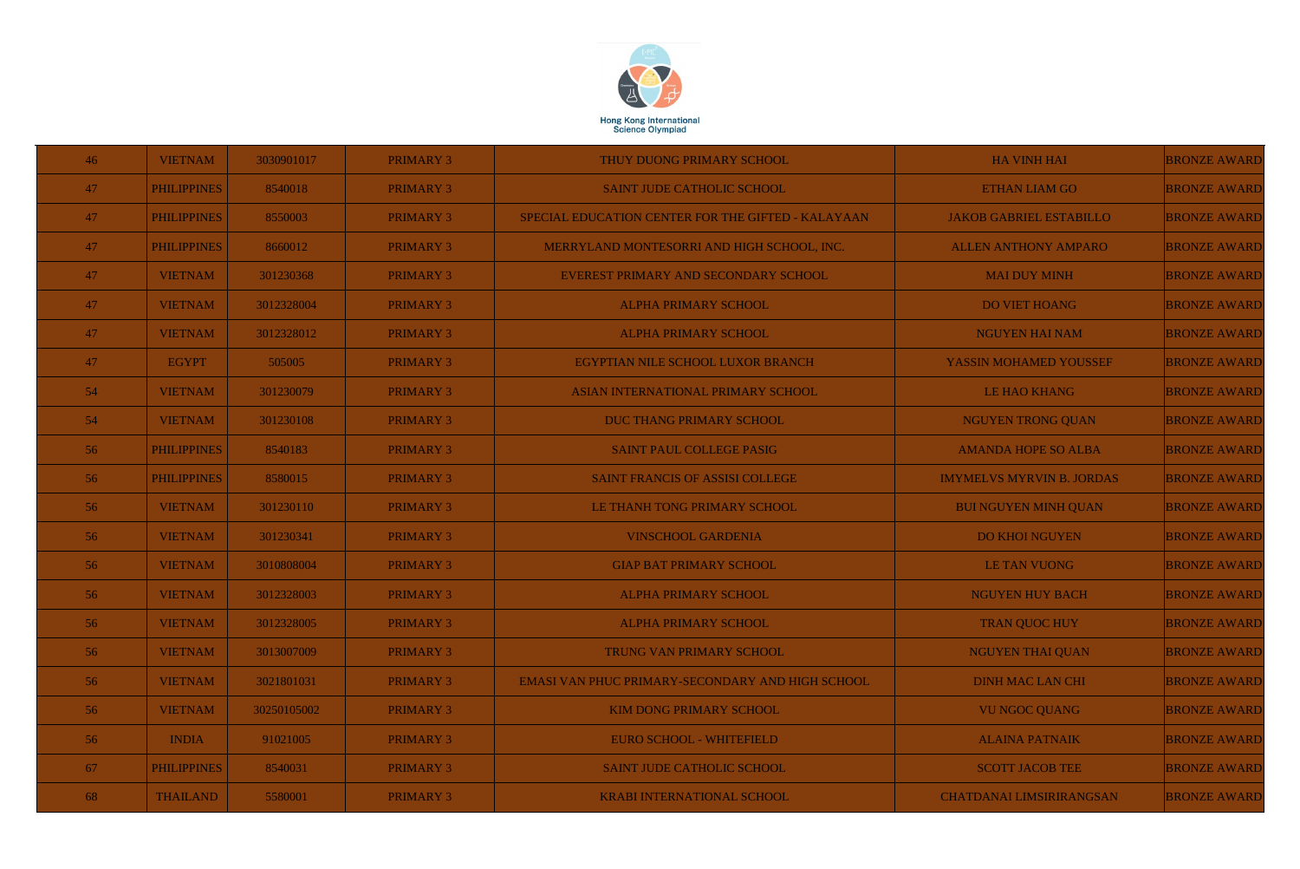

| 46 | <b>VIETNAM</b>     | 3030901017  | <b>PRIMARY 3</b> | THUY DUONG PRIMARY SCHOOL                          | <b>HA VINH HAI</b>               | <b>BRONZE AWARD</b> |
|----|--------------------|-------------|------------------|----------------------------------------------------|----------------------------------|---------------------|
| 47 | <b>PHILIPPINES</b> | 8540018     | <b>PRIMARY 3</b> | <b>SAINT JUDE CATHOLIC SCHOOL</b>                  | <b>ETHAN LIAM GO</b>             | <b>BRONZE AWARD</b> |
| 47 | <b>PHILIPPINES</b> | 8550003     | <b>PRIMARY 3</b> | SPECIAL EDUCATION CENTER FOR THE GIFTED - KALAYAAN | <b>JAKOB GABRIEL ESTABILLO</b>   | <b>BRONZE AWARD</b> |
| 47 | <b>PHILIPPINES</b> | 8660012     | <b>PRIMARY 3</b> | MERRYLAND MONTESORRI AND HIGH SCHOOL, INC.         | <b>ALLEN ANTHONY AMPARO</b>      | <b>BRONZE AWARD</b> |
| 47 | <b>VIETNAM</b>     | 301230368   | <b>PRIMARY 3</b> | EVEREST PRIMARY AND SECONDARY SCHOOL               | <b>MAI DUY MINH</b>              | <b>BRONZE AWARD</b> |
| 47 | <b>VIETNAM</b>     | 3012328004  | <b>PRIMARY 3</b> | <b>ALPHA PRIMARY SCHOOL</b>                        | <b>DO VIET HOANG</b>             | <b>BRONZE AWARD</b> |
| 47 | <b>VIETNAM</b>     | 3012328012  | <b>PRIMARY 3</b> | <b>ALPHA PRIMARY SCHOOL</b>                        | <b>NGUYEN HAI NAM</b>            | <b>BRONZE AWARD</b> |
| 47 | <b>EGYPT</b>       | 505005      | <b>PRIMARY 3</b> | EGYPTIAN NILE SCHOOL LUXOR BRANCH                  | YASSIN MOHAMED YOUSSEF           | <b>BRONZE AWARD</b> |
| 54 | <b>VIETNAM</b>     | 301230079   | <b>PRIMARY 3</b> | ASIAN INTERNATIONAL PRIMARY SCHOOL                 | <b>LE HAO KHANG</b>              | <b>BRONZE AWARD</b> |
| 54 | <b>VIETNAM</b>     | 301230108   | <b>PRIMARY 3</b> | DUC THANG PRIMARY SCHOOL                           | <b>NGUYEN TRONG QUAN</b>         | <b>BRONZE AWARD</b> |
| 56 | <b>PHILIPPINES</b> | 8540183     | <b>PRIMARY 3</b> | SAINT PAUL COLLEGE PASIG                           | <b>AMANDA HOPE SO ALBA</b>       | <b>BRONZE AWARD</b> |
| 56 | <b>PHILIPPINES</b> | 8580015     | <b>PRIMARY 3</b> | SAINT FRANCIS OF ASSISI COLLEGE                    | <b>IMYMELVS MYRVIN B. JORDAS</b> | <b>BRONZE AWARD</b> |
| 56 | <b>VIETNAM</b>     | 301230110   | <b>PRIMARY 3</b> | LE THANH TONG PRIMARY SCHOOL                       | <b>BUI NGUYEN MINH QUAN</b>      | <b>BRONZE AWARD</b> |
| 56 | <b>VIETNAM</b>     | 301230341   | <b>PRIMARY 3</b> | <b>VINSCHOOL GARDENIA</b>                          | <b>DO KHOI NGUYEN</b>            | <b>BRONZE AWARD</b> |
| 56 | <b>VIETNAM</b>     | 3010808004  | <b>PRIMARY 3</b> | <b>GIAP BAT PRIMARY SCHOOL</b>                     | <b>LE TAN VUONG</b>              | <b>BRONZE AWARD</b> |
| 56 | <b>VIETNAM</b>     | 3012328003  | <b>PRIMARY 3</b> | <b>ALPHA PRIMARY SCHOOL</b>                        | <b>NGUYEN HUY BACH</b>           | <b>BRONZE AWARD</b> |
| 56 | <b>VIETNAM</b>     | 3012328005  | <b>PRIMARY 3</b> | <b>ALPHA PRIMARY SCHOOL</b>                        | <b>TRAN QUOC HUY</b>             | <b>BRONZE AWARD</b> |
| 56 | <b>VIETNAM</b>     | 3013007009  | <b>PRIMARY 3</b> | TRUNG VAN PRIMARY SCHOOL                           | <b>NGUYEN THAI QUAN</b>          | <b>BRONZE AWARD</b> |
| 56 | <b>VIETNAM</b>     | 3021801031  | <b>PRIMARY 3</b> | EMASI VAN PHUC PRIMARY-SECONDARY AND HIGH SCHOOL   | <b>DINH MAC LAN CHI</b>          | <b>BRONZE AWARD</b> |
| 56 | <b>VIETNAM</b>     | 30250105002 | <b>PRIMARY 3</b> | <b>KIM DONG PRIMARY SCHOOL</b>                     | <b>VU NGOC QUANG</b>             | <b>BRONZE AWARD</b> |
| 56 | <b>INDIA</b>       | 91021005    | <b>PRIMARY 3</b> | EURO SCHOOL - WHITEFIELD                           | <b>ALAINA PATNAIK</b>            | <b>BRONZE AWARD</b> |
| 67 | <b>PHILIPPINES</b> | 8540031     | <b>PRIMARY 3</b> | <b>SAINT JUDE CATHOLIC SCHOOL</b>                  | <b>SCOTT JACOB TEE</b>           | <b>BRONZE AWARD</b> |
| 68 | <b>THAILAND</b>    | 5580001     | <b>PRIMARY 3</b> | <b>KRABI INTERNATIONAL SCHOOL</b>                  | <b>CHATDANAI LIMSIRIRANGSAN</b>  | <b>BRONZE AWARD</b> |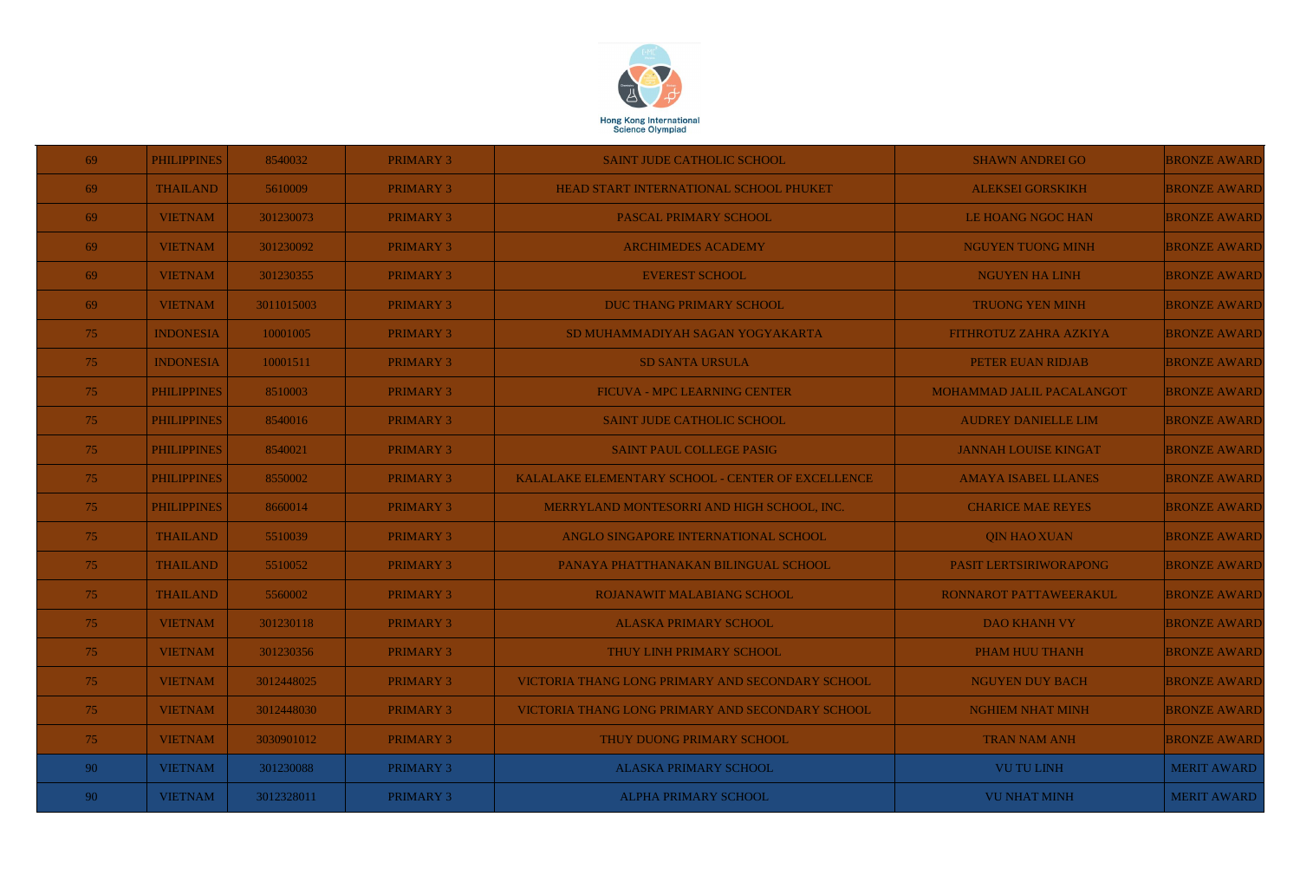

| 69  | <b>PHILIPPINES</b> | 8540032    | <b>PRIMARY 3</b> | <b>SAINT JUDE CATHOLIC SCHOOL</b>                 | <b>SHAWN ANDREI GO</b>      | <b>BRONZE AWARD</b> |
|-----|--------------------|------------|------------------|---------------------------------------------------|-----------------------------|---------------------|
| 69  | <b>THAILAND</b>    | 5610009    | <b>PRIMARY 3</b> | HEAD START INTERNATIONAL SCHOOL PHUKET            | <b>ALEKSEI GORSKIKH</b>     | <b>BRONZE AWARD</b> |
| 69  | <b>VIETNAM</b>     | 301230073  | <b>PRIMARY 3</b> | PASCAL PRIMARY SCHOOL                             | LE HOANG NGOC HAN           | <b>BRONZE AWARD</b> |
| 69  | <b>VIETNAM</b>     | 301230092  | <b>PRIMARY 3</b> | <b>ARCHIMEDES ACADEMY</b>                         | <b>NGUYEN TUONG MINH</b>    | <b>BRONZE AWARD</b> |
| 69  | <b>VIETNAM</b>     | 301230355  | <b>PRIMARY 3</b> | <b>EVEREST SCHOOL</b>                             | <b>NGUYEN HA LINH</b>       | <b>BRONZE AWARD</b> |
| 69  | <b>VIETNAM</b>     | 3011015003 | <b>PRIMARY 3</b> | <b>DUC THANG PRIMARY SCHOOL</b>                   | <b>TRUONG YEN MINH</b>      | <b>BRONZE AWARD</b> |
| 75  | <b>INDONESIA</b>   | 10001005   | <b>PRIMARY 3</b> | SD MUHAMMADIYAH SAGAN YOGYAKARTA                  | FITHROTUZ ZAHRA AZKIYA      | <b>BRONZE AWARD</b> |
| 75  | <b>INDONESIA</b>   | 10001511   | <b>PRIMARY 3</b> | <b>SD SANTA URSULA</b>                            | PETER EUAN RIDJAB           | <b>BRONZE AWARD</b> |
| 75  | <b>PHILIPPINES</b> | 8510003    | <b>PRIMARY 3</b> | FICUVA - MPC LEARNING CENTER                      | MOHAMMAD JALIL PACALANGOT   | <b>BRONZE AWARD</b> |
| 75  | <b>PHILIPPINES</b> | 8540016    | <b>PRIMARY 3</b> | <b>SAINT JUDE CATHOLIC SCHOOL</b>                 | <b>AUDREY DANIELLE LIM</b>  | <b>BRONZE AWARD</b> |
| 75  | <b>PHILIPPINES</b> | 8540021    | <b>PRIMARY 3</b> | <b>SAINT PAUL COLLEGE PASIG</b>                   | <b>JANNAH LOUISE KINGAT</b> | <b>BRONZE AWARD</b> |
| 75  | <b>PHILIPPINES</b> | 8550002    | <b>PRIMARY 3</b> | KALALAKE ELEMENTARY SCHOOL - CENTER OF EXCELLENCE | <b>AMAYA ISABEL LLANES</b>  | <b>BRONZE AWARD</b> |
| 75  | <b>PHILIPPINES</b> | 8660014    | <b>PRIMARY 3</b> | MERRYLAND MONTESORRI AND HIGH SCHOOL, INC.        | <b>CHARICE MAE REYES</b>    | <b>BRONZE AWARD</b> |
| 75  | <b>THAILAND</b>    | 5510039    | <b>PRIMARY 3</b> | ANGLO SINGAPORE INTERNATIONAL SCHOOL              | <b>QIN HAO XUAN</b>         | <b>BRONZE AWARD</b> |
| 75  | <b>THAILAND</b>    | 5510052    | <b>PRIMARY 3</b> | PANAYA PHATTHANAKAN BILINGUAL SCHOOL              | PASIT LERTSIRIWORAPONG      | <b>BRONZE AWARD</b> |
| 75. | <b>THAILAND</b>    | 5560002    | <b>PRIMARY 3</b> | ROJANAWIT MALABIANG SCHOOL                        | RONNAROT PATTAWEERAKUL      | <b>BRONZE AWARD</b> |
| 75  | <b>VIETNAM</b>     | 301230118  | <b>PRIMARY 3</b> | <b>ALASKA PRIMARY SCHOOL</b>                      | <b>DAO KHANH VY</b>         | <b>BRONZE AWARD</b> |
| 75  | <b>VIETNAM</b>     | 301230356  | <b>PRIMARY 3</b> | THUY LINH PRIMARY SCHOOL                          | PHAM HUU THANH              | <b>BRONZE AWARD</b> |
| 75  | <b>VIETNAM</b>     | 3012448025 | <b>PRIMARY 3</b> | VICTORIA THANG LONG PRIMARY AND SECONDARY SCHOOL  | <b>NGUYEN DUY BACH</b>      | <b>BRONZE AWARD</b> |
| 75  | <b>VIETNAM</b>     | 3012448030 | <b>PRIMARY 3</b> | VICTORIA THANG LONG PRIMARY AND SECONDARY SCHOOL  | <b>NGHIEM NHAT MINH</b>     | <b>BRONZE AWARD</b> |
| 75  | <b>VIETNAM</b>     | 3030901012 | <b>PRIMARY 3</b> | THUY DUONG PRIMARY SCHOOL                         | <b>TRAN NAM ANH</b>         | <b>BRONZE AWARD</b> |
| 90  | <b>VIETNAM</b>     | 301230088  | PRIMARY 3        | <b>ALASKA PRIMARY SCHOOL</b>                      | <b>VU TU LINH</b>           | <b>MERIT AWARD</b>  |
| 90  | <b>VIETNAM</b>     | 3012328011 | <b>PRIMARY 3</b> | <b>ALPHA PRIMARY SCHOOL</b>                       | <b>VU NHAT MINH</b>         | <b>MERIT AWARD</b>  |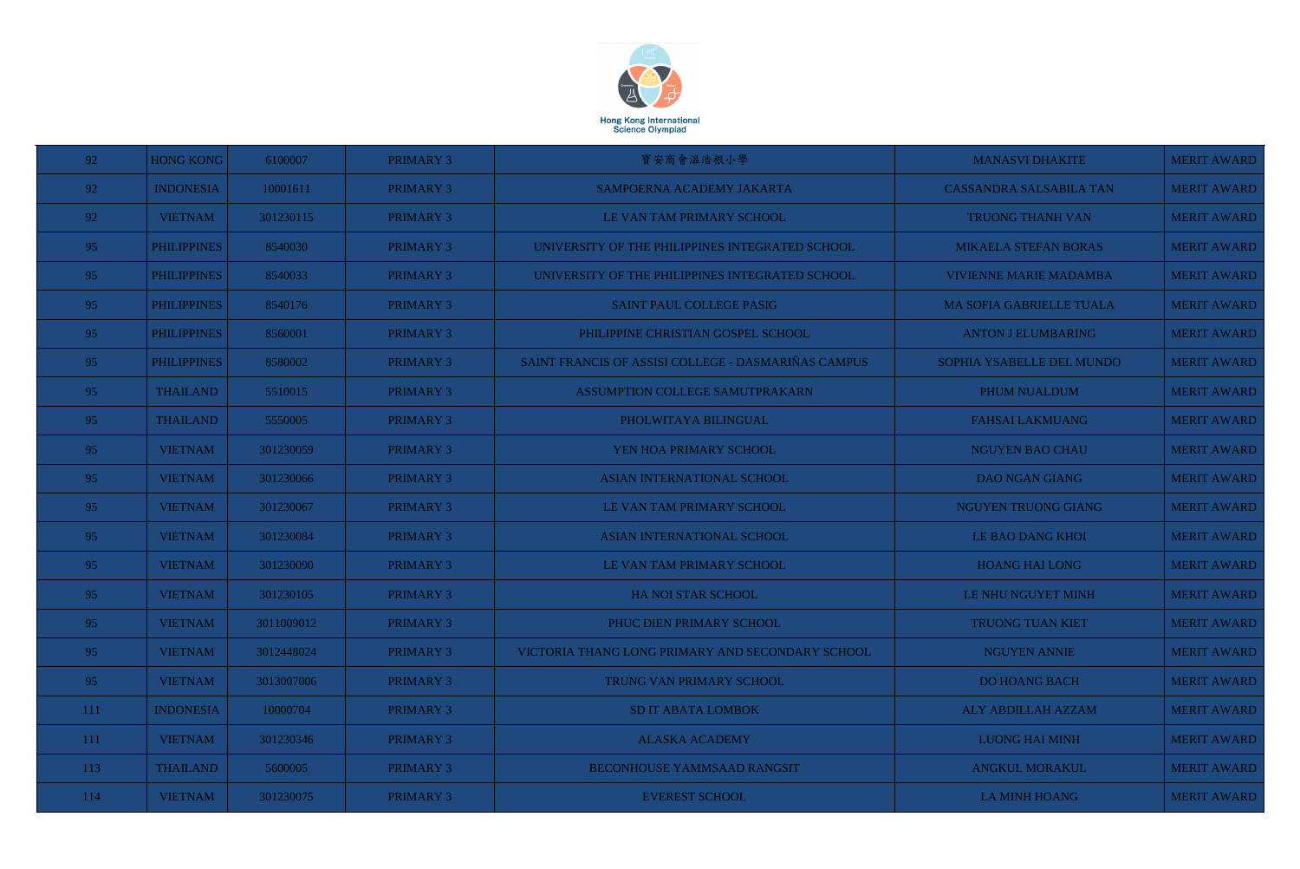

| 92              | <b>HONG KONG</b>   | 6100007    | <b>PRIMARY 3</b> | 寶安商會温浩根小學                                           | <b>MANASVI DHAKITE</b>          | <b>MERIT AWARD</b> |
|-----------------|--------------------|------------|------------------|-----------------------------------------------------|---------------------------------|--------------------|
| 92              | <b>INDONESIA</b>   | 10001611   | PRIMARY 3        | SAMPOERNA ACADEMY JAKARTA                           | <b>CASSANDRA SALSABILA TAN</b>  | <b>MERIT AWARD</b> |
| 92              | <b>VIETNAM</b>     | 301230115  | PRIMARY 3        | LE VAN TAM PRIMARY SCHOOL                           | TRUONG THANH VAN                | <b>MERIT AWARD</b> |
| 95              | <b>PHILIPPINES</b> | 8540030    | PRIMARY 3        | UNIVERSITY OF THE PHILIPPINES INTEGRATED SCHOOL     | <b>MIKAELA STEFAN BORAS</b>     | <b>MERIT AWARD</b> |
| 95              | <b>PHILIPPINES</b> | 8540033    | PRIMARY 3        | UNIVERSITY OF THE PHILIPPINES INTEGRATED SCHOOL     | <b>VIVIENNE MARIE MADAMBA</b>   | <b>MERIT AWARD</b> |
| 95              | <b>PHILIPPINES</b> | 8540176    | <b>PRIMARY 3</b> | SAINT PAUL COLLEGE PASIG                            | <b>MA SOFIA GABRIELLE TUALA</b> | <b>MERIT AWARD</b> |
| 95              | <b>PHILIPPINES</b> | 8560001    | PRIMARY 3        | PHILIPPINE CHRISTIAN GOSPEL SCHOOL                  | <b>ANTON J ELUMBARING</b>       | <b>MERIT AWARD</b> |
| 95              | <b>PHILIPPINES</b> | 8580002    | <b>PRIMARY 3</b> | SAINT FRANCIS OF ASSISI COLLEGE - DASMARIÑAS CAMPUS | SOPHIA YSABELLE DEL MUNDO       | <b>MERIT AWARD</b> |
| 95              | <b>THAILAND</b>    | 5510015    | PRIMARY 3        | ASSUMPTION COLLEGE SAMUTPRAKARN                     | PHUM NUALDUM                    | <b>MERIT AWARD</b> |
| 95              | <b>THAILAND</b>    | 5550005    | PRIMARY 3        | PHOLWITAYA BILINGUAL                                | <b>FAHSAI LAKMUANG</b>          | <b>MERIT AWARD</b> |
| 95              | <b>VIETNAM</b>     | 301230059  | PRIMARY 3        | YEN HOA PRIMARY SCHOOL                              | <b>NGUYEN BAO CHAU</b>          | <b>MERIT AWARD</b> |
| 95              | <b>VIETNAM</b>     | 301230066  | PRIMARY 3        | <b>ASIAN INTERNATIONAL SCHOOL</b>                   | <b>DAO NGAN GIANG</b>           | <b>MERIT AWARD</b> |
| 95              | <b>VIETNAM</b>     | 301230067  | PRIMARY 3        | LE VAN TAM PRIMARY SCHOOL                           | NGUYEN TRUONG GIANG             | <b>MERIT AWARD</b> |
| 95              | <b>VIETNAM</b>     | 301230084  | PRIMARY 3        | <b>ASIAN INTERNATIONAL SCHOOL</b>                   | LE BAO DANG KHOI                | <b>MERIT AWARD</b> |
| 95              | <b>VIETNAM</b>     | 301230090  | PRIMARY 3        | LE VAN TAM PRIMARY SCHOOL                           | <b>HOANG HAI LONG</b>           | <b>MERIT AWARD</b> |
| 95 <sub>1</sub> | <b>VIETNAM</b>     | 301230105  | PRIMARY 3        | HA NOI STAR SCHOOL                                  | LE NHU NGUYET MINH              | <b>MERIT AWARD</b> |
| 95              | <b>VIETNAM</b>     | 3011009012 | <b>PRIMARY 3</b> | PHUC DIEN PRIMARY SCHOOL                            | <b>TRUONG TUAN KIET</b>         | <b>MERIT AWARD</b> |
| 95              | <b>VIETNAM</b>     | 3012448024 | PRIMARY 3        | VICTORIA THANG LONG PRIMARY AND SECONDARY SCHOOL    | <b>NGUYEN ANNIE</b>             | <b>MERIT AWARD</b> |
| 95              | <b>VIETNAM</b>     | 3013007006 | <b>PRIMARY 3</b> | TRUNG VAN PRIMARY SCHOOL                            | <b>DO HOANG BACH</b>            | <b>MERIT AWARD</b> |
| 111             | <b>INDONESIA</b>   | 10000704   | <b>PRIMARY 3</b> | <b>SD IT ABATA LOMBOK</b>                           | ALY ABDILLAH AZZAM              | <b>MERIT AWARD</b> |
| 111             | <b>VIETNAM</b>     | 301230346  | <b>PRIMARY 3</b> | <b>ALASKA ACADEMY</b>                               | <b>LUONG HAI MINH</b>           | <b>MERIT AWARD</b> |
| 113             | <b>THAILAND</b>    | 5600005    | <b>PRIMARY 3</b> | <b>BECONHOUSE YAMMSAAD RANGSIT</b>                  | <b>ANGKUL MORAKUL</b>           | <b>MERIT AWARD</b> |
| 114             | <b>VIETNAM</b>     | 301230075  | PRIMARY 3        | <b>EVEREST SCHOOL</b>                               | <b>LA MINH HOANG</b>            | <b>MERIT AWARD</b> |

| <b>MANASVI DHAKITE</b>          | <b>MERIT AWARD</b> |
|---------------------------------|--------------------|
| <b>CASSANDRA SALSABILA TAN</b>  | <b>MERIT AWARD</b> |
| <b>TRUONG THANH VAN</b>         | <b>MERIT AWARD</b> |
| <b>MIKAELA STEFAN BORAS</b>     | <b>MERIT AWARD</b> |
| <b>VIVIENNE MARIE MADAMBA</b>   | <b>MERIT AWARD</b> |
| <b>MA SOFIA GABRIELLE TUALA</b> | <b>MERIT AWARD</b> |
| <b>ANTON J ELUMBARING</b>       | <b>MERIT AWARD</b> |
| SOPHIA YSABELLE DEL MUNDO       | <b>MERIT AWARD</b> |
| <b>PHUM NUALDUM</b>             | <b>MERIT AWARD</b> |
| <b>FAHSAI LAKMUANG</b>          | <b>MERIT AWARD</b> |
| <b>NGUYEN BAO CHAU</b>          | <b>MERIT AWARD</b> |
| <b>DAO NGAN GIANG</b>           | <b>MERIT AWARD</b> |
| <b>NGUYEN TRUONG GIANG</b>      | <b>MERIT AWARD</b> |
| <b>LE BAO DANG KHOI</b>         | <b>MERIT AWARD</b> |
| <b>HOANG HAILONG</b>            | <b>MERIT AWARD</b> |
| <b>LE NHU NGUYET MINH</b>       | <b>MERIT AWARD</b> |
| <b>TRUONG TUAN KIET</b>         | <b>MERIT AWARD</b> |
| <b>NGUYEN ANNIE</b>             | <b>MERIT AWARD</b> |
| <b>DO HOANG BACH</b>            | <b>MERIT AWARD</b> |
| <b>ALY ABDILLAH AZZAM</b>       | <b>MERIT AWARD</b> |
| <b>LUONG HAI MINH</b>           | <b>MERIT AWARD</b> |
| <b>ANGKUL MORAKUL</b>           | <b>MERIT AWARD</b> |
| <b>LA MINH HOANG</b>            | <b>MERIT AWARD</b> |